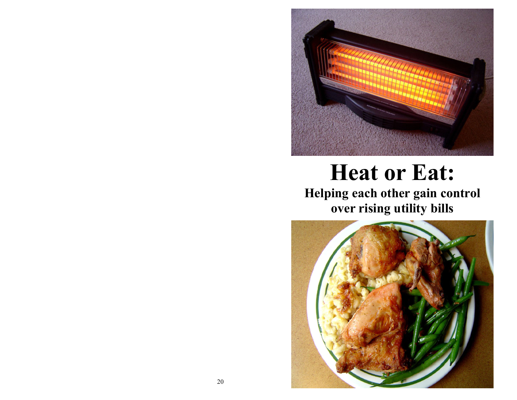

# Heat or Eat:

 Helping each other gain control over rising utility bills

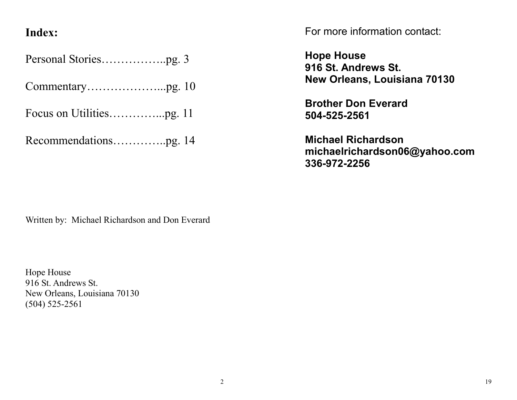## Index:

Personal Stories……………..pg. 3

Commentary………………...pg. 10

Focus on Utilities…………...pg. 11

Recommendations…………..pg. 14

For more information contact:

Hope House 916 St. Andrews St. New Orleans, Louisiana 70130

Brother Don Everard 504-525-2561

Michael Richardson michaelrichardson06@yahoo.com 336-972-2256

Written by: Michael Richardson and Don Everard

Hope House 916 St. Andrews St. New Orleans, Louisiana 70130 (504) 525-2561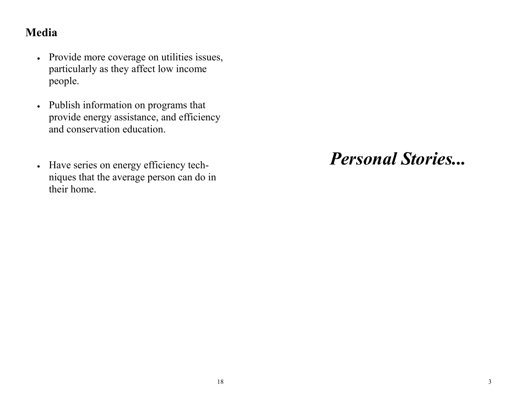# Media

- Provide more coverage on utilities issues, particularly as they affect low income people.
- Publish information on programs that provide energy assistance, and efficiency and conservation education.
- Have series on energy efficiency techniques that the average person can do in their home.

Personal Stories...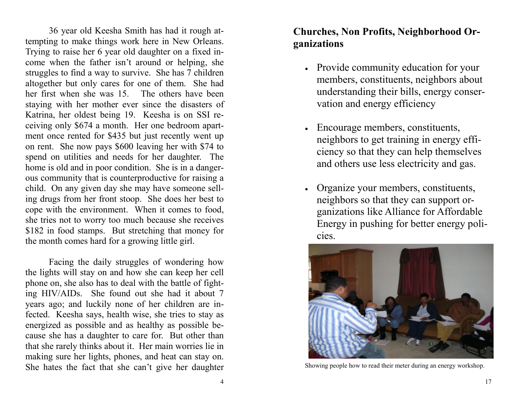36 year old Keesha Smith has had it rough attempting to make things work here in New Orleans. Trying to raise her 6 year old daughter on a fixed income when the father isn't around or helping, she struggles to find a way to survive. She has 7 children altogether but only cares for one of them. She had her first when she was 15. The others have been staying with her mother ever since the disasters of Katrina, her oldest being 19. Keesha is on SSI receiving only \$674 a month. Her one bedroom apartment once rented for \$435 but just recently went up on rent. She now pays \$600 leaving her with \$74 to spend on utilities and needs for her daughter. The home is old and in poor condition. She is in a dangerous community that is counterproductive for raising a child. On any given day she may have someone selling drugs from her front stoop. She does her best to cope with the environment. When it comes to food, she tries not to worry too much because she receives \$182 in food stamps. But stretching that money forthe month comes hard for a growing little girl.

Facing the daily struggles of wondering how the lights will stay on and how she can keep her cell phone on, she also has to deal with the battle of fighting HIV/AIDs. She found out she had it about 7 years ago; and luckily none of her children are infected. Keesha says, health wise, she tries to stay as energized as possible and as healthy as possible be cause she has a daughter to care for. But other than that she rarely thinks about it. Her main worries lie in making sure her lights, phones, and heat can stay on. She hates the fact that she can't give her daughter

### Churches, Non Profits, Neighborhood Organizations

- Provide community education for your members, constituents, neighbors about understanding their bills, energy conservation and energy efficiency
- Encourage members, constituents, neighbors to get training in energy efficiency so that they can help themselves and others use less electricity and gas.
- Organize your members, constituents, neighbors so that they can support organizations like Alliance for Affordable Energy in pushing for better energy policies.



Showing people how to read their meter during an energy workshop.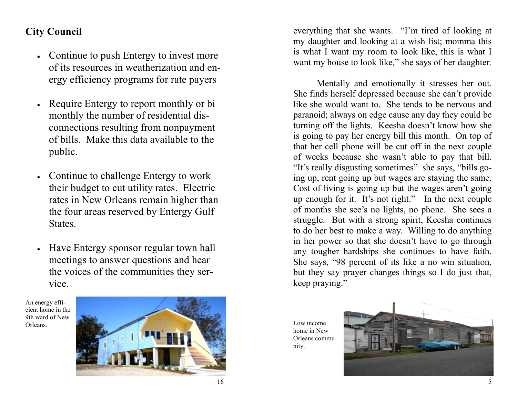### City Council

- Continue to push Entergy to invest more of its resources in weatherization and energy efficiency programs for rate payers
- Require Entergy to report monthly or bi monthly the number of residential disconnections resulting from nonpayment of bills. Make this data available to the public.
- Continue to challenge Entergy to work their budget to cut utility rates. Electric rates in New Orleans remain higher than the four areas reserved by Entergy Gulf States.
- Have Entergy sponsor regular town hall meetings to answer questions and hear the voices of the communities they service.

An energy efficient home in the 9th ward of New Orleans.



everything that she wants. "I'm tired of looking at my daughter and looking at a wish list; momma this is what I want my room to look like, this is what Iwant my house to look like," she says of her daughter.

Mentally and emotionally it stresses her out. She finds herself depressed because she can't provide like she would want to. She tends to be nervous and paranoid; always on edge cause any day they could be turning off the lights. Keesha doesn't know how she is going to pay her energy bill this month. On top of that her cell phone will be cut off in the next couple of weeks because she wasn't able to pay that bill. "It's really disgusting sometimes" she says, "bills going up, rent going up but wages are staying the same. Cost of living is going up but the wages aren't going up enough for it. It's not right." In the next couple of months she see's no lights, no phone. She sees a struggle. But with a strong spirit, Keesha continues to do her best to make a way. Willing to do anything in her power so that she doesn't have to go through any tougher hardships she continues to have faith. She says, "98 percent of its like a no win situation, but they say prayer changes things so I do just that, keep praying."

Low income home in New Orleans community.

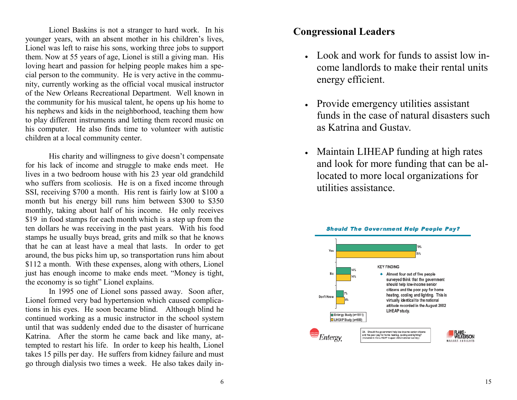Lionel Baskins is not a stranger to hard work. In his younger years, with an absent mother in his children's lives, Lionel was left to raise his sons, working three jobs to support them. Now at 55 years of age, Lionel is still a giving man. His loving heart and passion for helping people makes him a special person to the community. He is very active in the community, currently working as the official vocal musical instructor of the New Orleans Recreational Department. Well known in the community for his musical talent, he opens up his home to his nephews and kids in the neighborhood, teaching them how to play different instruments and letting them record music on his computer. He also finds time to volunteer with autistic children at a local community center.

His charity and willingness to give doesn't compensate for his lack of income and struggle to make ends meet. He lives in a two bedroom house with his 23 year old grandchild who suffers from scoliosis. He is on a fixed income through SSI, receiving \$700 a month. His rent is fairly low at \$100 a month but his energy bill runs him between \$300 to \$350 monthly, taking about half of his income. He only receives \$19 in food stamps for each month which is a step up from the ten dollars he was receiving in the past years. With his food stamps he usually buys bread, grits and milk so that he knows that he can at least have a meal that lasts. In order to get around, the bus picks him up, so transportation runs him about \$112 a month. With these expenses, along with others, Lionel just has enough income to make ends meet. "Money is tight, the economy is so tight" Lionel explains.

 In 1995 one of Lionel sons passed away. Soon after, Lionel formed very bad hypertension which caused complications in his eyes. He soon became blind. Although blind he continued working as a music instructor in the school system until that was suddenly ended due to the disaster of hurricane Katrina. After the storm he came back and like many, attempted to restart his life. In order to keep his health, Lionel takes 15 pills per day. He suffers from kidney failure and must go through dialysis two times a week. He also takes daily in-

### Congressional Leaders

- Look and work for funds to assist low income landlords to make their rental units energy efficient.
- Provide emergency utilities assistant funds in the case of natural disasters such as Katrina and Gustav.
- Maintain LIHEAP funding at high rates and look for more funding that can be allocated to more local organizations for utilities assistance.

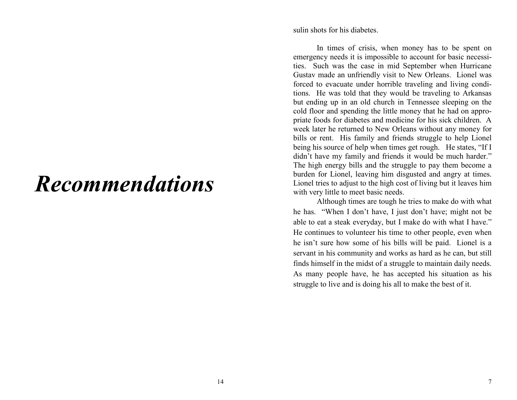# Recommendations

sulin shots for his diabetes.

In times of crisis, when money has to be spent on emergency needs it is impossible to account for basic necessities. Such was the case in mid September when Hurricane Gustav made an unfriendly visit to New Orleans. Lionel was forced to evacuate under horrible traveling and living conditions. He was told that they would be traveling to Arkansas but ending up in an old church in Tennessee sleeping on the cold floor and spending the little money that he had on appropriate foods for diabetes and medicine for his sick children. A week later he returned to New Orleans without any money for bills or rent. His family and friends struggle to help Lionel being his source of help when times get rough. He states, "If I didn't have my family and friends it would be much harder." The high energy bills and the struggle to pay them become a burden for Lionel, leaving him disgusted and angry at times. Lionel tries to adjust to the high cost of living but it leaves him with very little to meet basic needs.

 Although times are tough he tries to make do with what he has. "When I don't have, I just don't have; might not be able to eat a steak everyday, but I make do with what I have." He continues to volunteer his time to other people, even when he isn't sure how some of his bills will be paid. Lionel is a servant in his community and works as hard as he can, but still finds himself in the midst of a struggle to maintain daily needs. As many people have, he has accepted his situation as his struggle to live and is doing his all to make the best of it.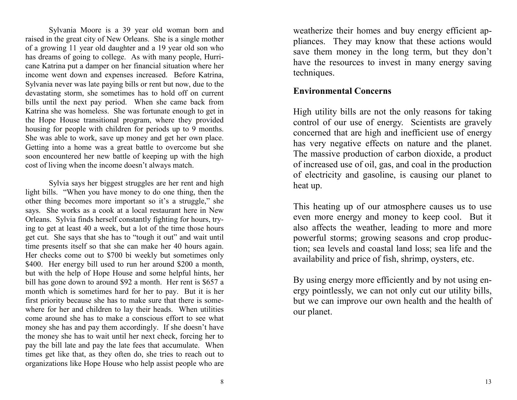Sylvania Moore is a 39 year old woman born and raised in the great city of New Orleans. She is a single mother of a growing 11 year old daughter and a 19 year old son who has dreams of going to college. As with many people, Hurricane Katrina put a damper on her financial situation where her income went down and expenses increased. Before Katrina, Sylvania never was late paying bills or rent but now, due to the devastating storm, she sometimes has to hold off on current bills until the next pay period. When she came back from Katrina she was homeless. She was fortunate enough to get in the Hope House transitional program, where they provided housing for people with children for periods up to 9 months. She was able to work, save up money and get her own place. Getting into a home was a great battle to overcome but she soon encountered her new battle of keeping up with the high cost of living when the income doesn't always match.

Sylvia says her biggest struggles are her rent and high light bills. "When you have money to do one thing, then the other thing becomes more important so it's a struggle," she says. She works as a cook at a local restaurant here in New Orleans. Sylvia finds herself constantly fighting for hours, trying to get at least 40 a week, but a lot of the time those hours get cut. She says that she has to "tough it out" and wait until time presents itself so that she can make her 40 hours again. Her checks come out to \$700 bi weekly but sometimes only \$400. Her energy bill used to run her around \$200 a month, but with the help of Hope House and some helpful hints, her bill has gone down to around \$92 a month. Her rent is \$657 a month which is sometimes hard for her to pay. But it is her first priority because she has to make sure that there is somewhere for her and children to lay their heads. When utilities come around she has to make a conscious effort to see what money she has and pay them accordingly. If she doesn't have the money she has to wait until her next check, forcing her to pay the bill late and pay the late fees that accumulate. When times get like that, as they often do, she tries to reach out to organizations like Hope House who help assist people who are weatherize their homes and buy energy efficient appliances. They may know that these actions would save them money in the long term, but they don't have the resources to invest in many energy saving techniques.

### Environmental Concerns

High utility bills are not the only reasons for taking control of our use of energy. Scientists are gravely concerned that are high and inefficient use of energy has very negative effects on nature and the planet. The massive production of carbon dioxide, a product of increased use of oil, gas, and coal in the production of electricity and gasoline, is causing our planet to heat up.

This heating up of our atmosphere causes us to use even more energy and money to keep cool. But it also affects the weather, leading to more and more powerful storms; growing seasons and crop production; sea levels and coastal land loss; sea life and the availability and price of fish, shrimp, oysters, etc.

By using energy more efficiently and by not using energy pointlessly, we can not only cut our utility bills, but we can improve our own health and the health ofour planet.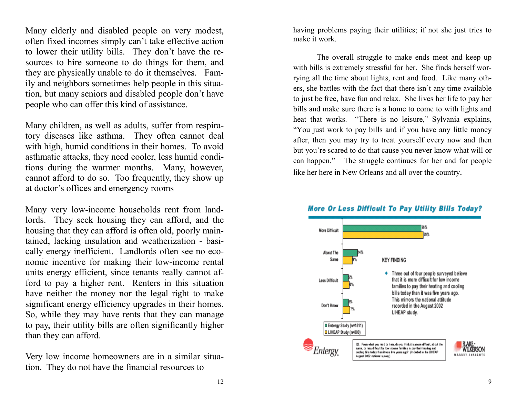Many elderly and disabled people on very modest, often fixed incomes simply can't take effective action to lower their utility bills. They don't have the resources to hire someone to do things for them, and they are physically unable to do it themselves. Family and neighbors sometimes help people in this situation, but many seniors and disabled people don't have people who can offer this kind of assistance.

Many children, as well as adults, suffer from respiratory diseases like asthma. They often cannot deal with high, humid conditions in their homes. To avoid asthmatic attacks, they need cooler, less humid conditions during the warmer months. Many, however, cannot afford to do so. Too frequently, they show up at doctor's offices and emergency rooms

Many very low-income households rent from landlords. They seek housing they can afford, and the housing that they can afford is often old, poorly maintained, lacking insulation and weatherization - basically energy inefficient. Landlords often see no economic incentive for making their low-income rental units energy efficient, since tenants really cannot afford to pay a higher rent. Renters in this situation have neither the money nor the legal right to make significant energy efficiency upgrades in their homes. So, while they may have rents that they can manage to pay, their utility bills are often significantly higher than they can afford.

Very low income homeowners are in a similar situation. They do not have the financial resources to

having problems paying their utilities; if not she just tries to make it work.

The overall struggle to make ends meet and keep up with bills is extremely stressful for her. She finds herself worrying all the time about lights, rent and food. Like many others, she battles with the fact that there isn't any time available to just be free, have fun and relax. She lives her life to pay her bills and make sure there is a home to come to with lights and heat that works. "There is no leisure," Sylvania explains, "You just work to pay bills and if you have any little money after, then you may try to treat yourself every now and then but you're scared to do that cause you never know what will or can happen." The struggle continues for her and for people like her here in New Orleans and all over the country.



#### **More Or Less Difficult To Pay Utility Bills Today?**